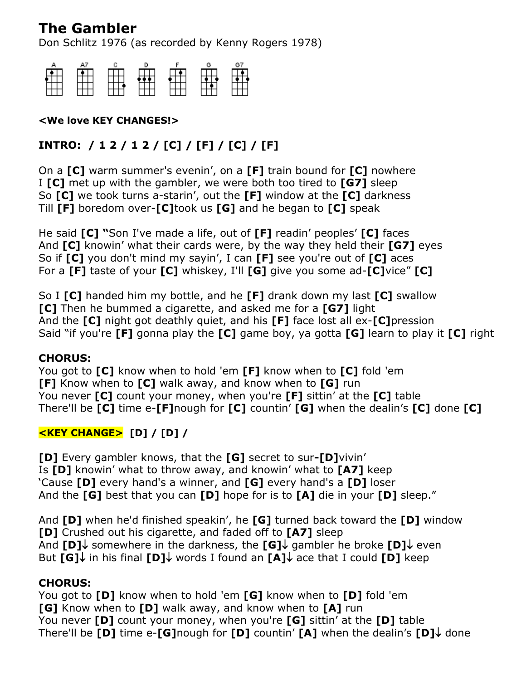# **The Gambler**

Don Schlitz 1976 (as recorded by Kenny Rogers 1978)



#### **<We love KEY CHANGES!>**

# **INTRO: / 1 2 / 1 2 / [C] / [F] / [C] / [F]**

On a **[C]** warm summer's evenin', on a **[F]** train bound for **[C]** nowhere I **[C]** met up with the gambler, we were both too tired to **[G7]** sleep So **[C]** we took turns a-starin', out the **[F]** window at the **[C]** darkness Till **[F]** boredom over-**[C]**took us **[G]** and he began to **[C]** speak

He said **[C] "**Son I've made a life, out of **[F]** readin' peoples' **[C]** faces And **[C]** knowin' what their cards were, by the way they held their **[G7]** eyes So if **[C]** you don't mind my sayin', I can **[F]** see you're out of **[C]** aces For a **[F]** taste of your **[C]** whiskey, I'll **[G]** give you some ad-**[C]**vice" **[C]**

So I **[C]** handed him my bottle, and he **[F]** drank down my last **[C]** swallow **[C]** Then he bummed a cigarette, and asked me for a **[G7]** light And the **[C]** night got deathly quiet, and his **[F]** face lost all ex-**[C]**pression Said "if you're **[F]** gonna play the **[C]** game boy, ya gotta **[G]** learn to play it **[C]** right

#### **CHORUS:**

You got to **[C]** know when to hold 'em **[F]** know when to **[C]** fold 'em **[F]** Know when to **[C]** walk away, and know when to **[G]** run You never **[C]** count your money, when you're **[F]** sittin' at the **[C]** table There'll be **[C]** time e-**[F]**nough for **[C]** countin' **[G]** when the dealin's **[C]** done **[C]**

## **<KEY CHANGE> [D] / [D] /**

**[D]** Every gambler knows, that the **[G]** secret to sur**-[D]**vivin' Is **[D]** knowin' what to throw away, and knowin' what to **[A7]** keep 'Cause **[D]** every hand's a winner, and **[G]** every hand's a **[D]** loser And the **[G]** best that you can **[D]** hope for is to **[A]** die in your **[D]** sleep."

And **[D]** when he'd finished speakin', he **[G]** turned back toward the **[D]** window **[D]** Crushed out his cigarette, and faded off to **[A7]** sleep And **[D]**↓ somewhere in the darkness, the **[G]**↓ gambler he broke **[D]**↓ even But **[G]** in his final **[D]** words I found an **[A]** ace that I could **[D]** keep

### **CHORUS:**

You got to **[D]** know when to hold 'em **[G]** know when to **[D]** fold 'em **[G]** Know when to **[D]** walk away, and know when to **[A]** run You never **[D]** count your money, when you're **[G]** sittin' at the **[D]** table There'll be **[D]** time e-**[G]**nough for **[D]** countin' **[A]** when the dealin's **[D]** done